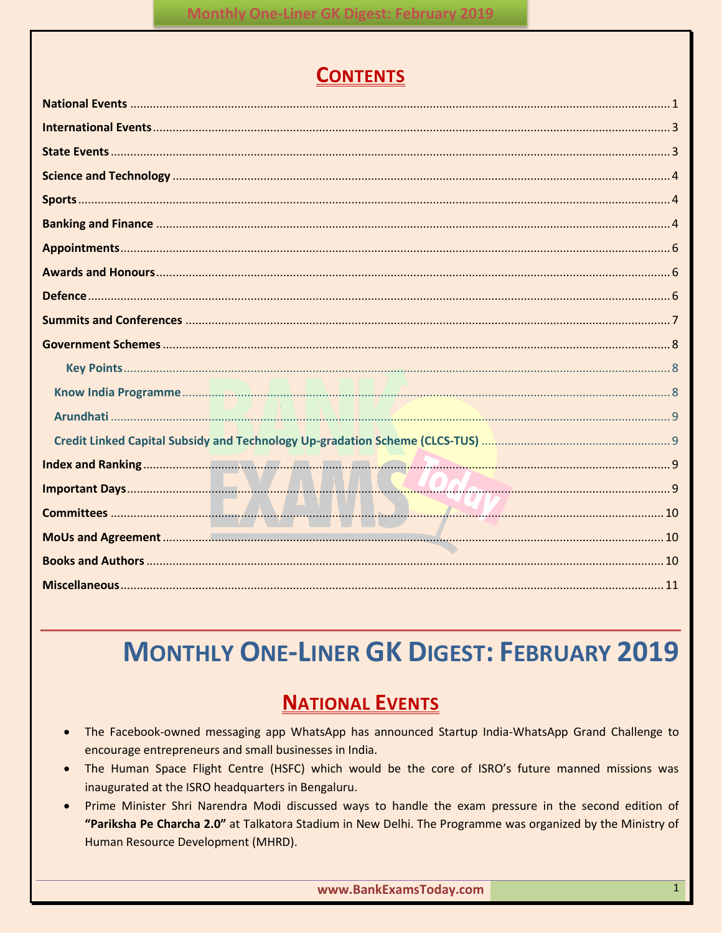# **CONTENTS**

# **MONTHLY ONE-LINER GK DIGEST: FEBRUARY 2019**

# **NATIONAL EVENTS**

- <span id="page-0-0"></span>The Facebook-owned messaging app WhatsApp has announced Startup India-WhatsApp Grand Challenge to encourage entrepreneurs and small businesses in India.
- The Human Space Flight Centre (HSFC) which would be the core of ISRO's future manned missions was inaugurated at the ISRO headquarters in Bengaluru.
- Prime Minister Shri Narendra Modi discussed ways to handle the exam pressure in the second edition of "Pariksha Pe Charcha 2.0" at Talkatora Stadium in New Delhi. The Programme was organized by the Ministry of Human Resource Development (MHRD).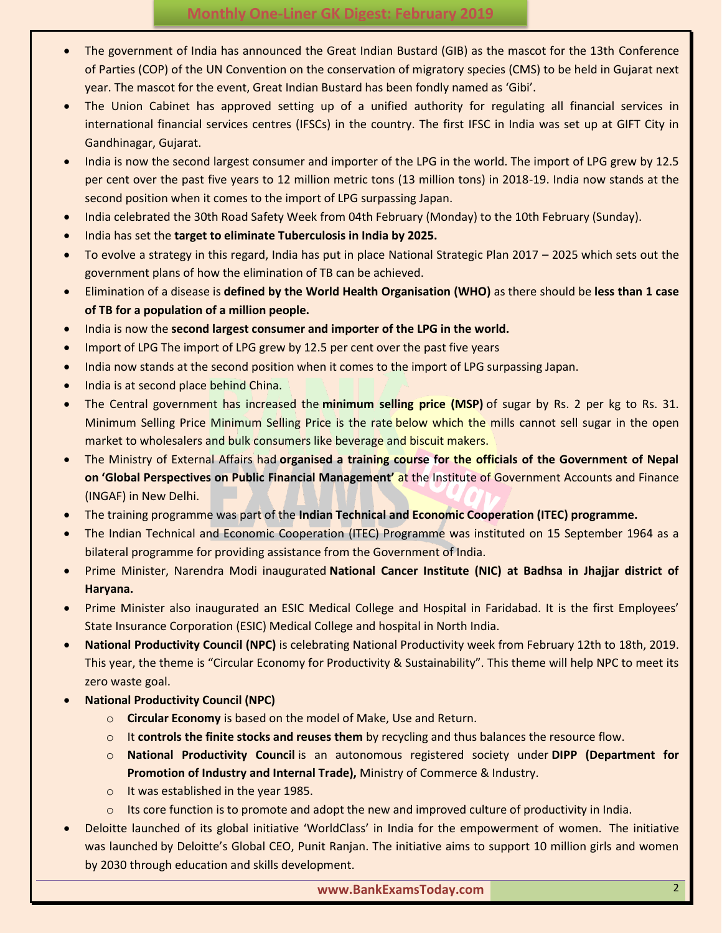- The government of India has announced the Great Indian Bustard (GIB) as the mascot for the 13th Conference of Parties (COP) of the UN Convention on the conservation of migratory species (CMS) to be held in Gujarat next year. The mascot for the event, Great Indian Bustard has been fondly named as 'Gibi'.
- The Union Cabinet has approved setting up of a unified authority for regulating all financial services in international financial services centres (IFSCs) in the country. The first IFSC in India was set up at GIFT City in Gandhinagar, Gujarat.
- India is now the second largest consumer and importer of the LPG in the world. The import of LPG grew by 12.5 per cent over the past five years to 12 million metric tons (13 million tons) in 2018-19. India now stands at the second position when it comes to the import of LPG surpassing Japan.
- India celebrated the 30th Road Safety Week from 04th February (Monday) to the 10th February (Sunday).
- India has set the **target to eliminate Tuberculosis in India by 2025.**
- To evolve a strategy in this regard, India has put in place National Strategic Plan 2017 2025 which sets out the government plans of how the elimination of TB can be achieved.
- Elimination of a disease is **defined by the World Health Organisation (WHO)** as there should be **less than 1 case of TB for a population of a million people.**
- India is now the **second largest consumer and importer of the LPG in the world.**
- Import of LPG The import of LPG grew by 12.5 per cent over the past five years
- India now stands at the second position when it comes to the import of LPG surpassing Japan.
- India is at second place behind China.
- The Central government has increased the **minimum selling price (MSP)** of sugar by Rs. 2 per kg to Rs. 31. Minimum Selling Price Minimum Selling Price is the rate below which the mills cannot sell sugar in the open market to wholesalers and bulk consumers like beverage and biscuit makers.
- The Ministry of External Affairs had **organised a training course for the officials of the Government of Nepal on 'Global Perspectives on Public Financial Management'** at the Institute of Government Accounts and Finance (INGAF) in New Delhi.
- The training programme was part of the **Indian Technical and Economic Cooperation (ITEC) programme.**
- The Indian Technical and Economic Cooperation (ITEC) Programme was instituted on 15 September 1964 as a bilateral programme for providing assistance from the Government of India.
- Prime Minister, Narendra Modi inaugurated **National Cancer Institute (NIC) at Badhsa in Jhajjar district of Haryana.**
- Prime Minister also inaugurated an ESIC Medical College and Hospital in Faridabad. It is the first Employees' State Insurance Corporation (ESIC) Medical College and hospital in North India.
- **National Productivity Council (NPC)** is celebrating National Productivity week from February 12th to 18th, 2019. This year, the theme is "Circular Economy for Productivity & Sustainability". This theme will help NPC to meet its zero waste goal.
- **National Productivity Council (NPC)**
	- o **Circular Economy** is based on the model of Make, Use and Return.
	- o It **controls the finite stocks and reuses them** by recycling and thus balances the resource flow.
	- o **National Productivity Council** is an autonomous registered society under **DIPP (Department for Promotion of Industry and Internal Trade),** Ministry of Commerce & Industry.
	- o It was established in the year 1985.
	- $\circ$  Its core function is to promote and adopt the new and improved culture of productivity in India.
- Deloitte launched of its global initiative 'WorldClass' in India for the empowerment of women. The initiative was launched by Deloitte's Global CEO, Punit Ranjan. The initiative aims to support 10 million girls and women by 2030 through education and skills development.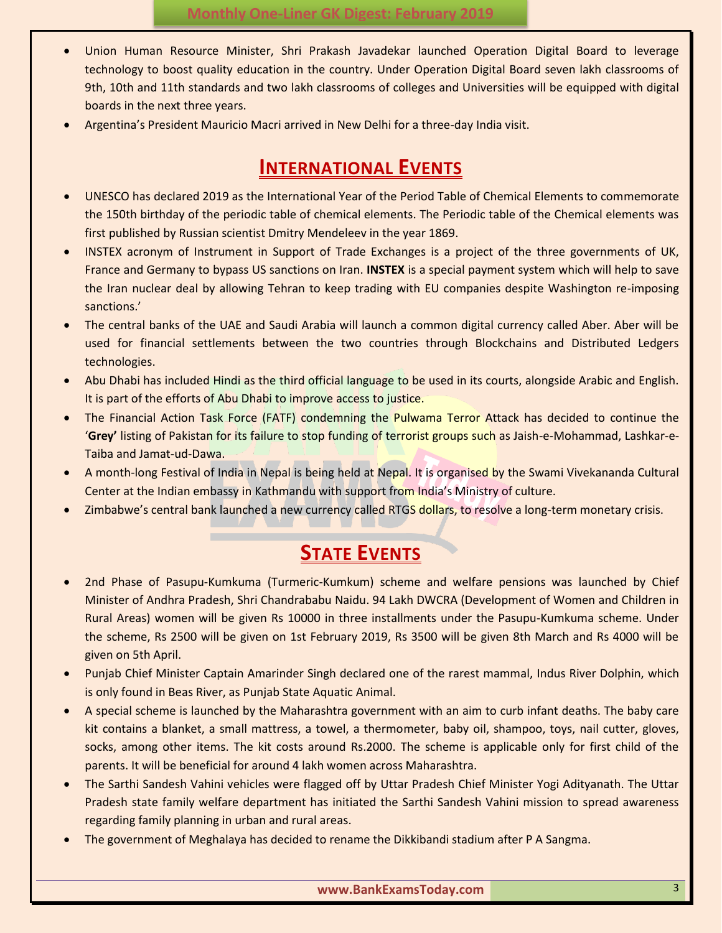- Union Human Resource Minister, Shri Prakash Javadekar launched Operation Digital Board to leverage technology to boost quality education in the country. Under Operation Digital Board seven lakh classrooms of 9th, 10th and 11th standards and two lakh classrooms of colleges and Universities will be equipped with digital boards in the next three years.
- <span id="page-2-0"></span>Argentina's President Mauricio Macri arrived in New Delhi for a three-day India visit.

# **INTERNATIONAL EVENTS**

- UNESCO has declared 2019 as the International Year of the Period Table of Chemical Elements to commemorate the 150th birthday of the periodic table of chemical elements. The Periodic table of the Chemical elements was first published by Russian scientist Dmitry Mendeleev in the year 1869.
- INSTEX acronym of Instrument in Support of Trade Exchanges is a project of the three governments of UK, France and Germany to bypass US sanctions on Iran. **INSTEX** is a special payment system which will help to save the Iran nuclear deal by allowing Tehran to keep trading with EU companies despite Washington re-imposing sanctions.'
- The central banks of the UAE and Saudi Arabia will launch a common digital currency called Aber. Aber will be used for financial settlements between the two countries through Blockchains and Distributed Ledgers technologies.
- Abu Dhabi has included Hindi as the third official language to be used in its courts, alongside Arabic and English. It is part of the efforts of Abu Dhabi to improve access to justice.
- The Financial Action Task Force (FATF) condemning the Pulwama Terror Attack has decided to continue the '**Grey'** listing of Pakistan for its failure to stop funding of terrorist groups such as Jaish-e-Mohammad, Lashkar-e-Taiba and Jamat-ud-Dawa.
- A month-long Festival of India in Nepal is being held at Nepal. It is organised by the Swami Vivekananda Cultural Center at the Indian embassy in Kathmandu with support from India's Ministry of culture.
- <span id="page-2-1"></span>Zimbabwe's central bank launched a new currency called RTGS dollars, to resolve a long-term monetary crisis.

# **STATE EVENTS**

- 2nd Phase of Pasupu-Kumkuma (Turmeric-Kumkum) scheme and welfare pensions was launched by Chief Minister of Andhra Pradesh, Shri Chandrababu Naidu. 94 Lakh DWCRA (Development of Women and Children in Rural Areas) women will be given Rs 10000 in three installments under the Pasupu-Kumkuma scheme. Under the scheme, Rs 2500 will be given on 1st February 2019, Rs 3500 will be given 8th March and Rs 4000 will be given on 5th April.
- Punjab Chief Minister Captain Amarinder Singh declared one of the rarest mammal, Indus River Dolphin, which is only found in Beas River, as Punjab State Aquatic Animal.
- A special scheme is launched by the Maharashtra government with an aim to curb infant deaths. The baby care kit contains a blanket, a small mattress, a towel, a thermometer, baby oil, shampoo, toys, nail cutter, gloves, socks, among other items. The kit costs around Rs.2000. The scheme is applicable only for first child of the parents. It will be beneficial for around 4 lakh women across Maharashtra.
- The Sarthi Sandesh Vahini vehicles were flagged off by Uttar Pradesh Chief Minister Yogi Adityanath. The Uttar Pradesh state family welfare department has initiated the Sarthi Sandesh Vahini mission to spread awareness regarding family planning in urban and rural areas.
- The government of Meghalaya has decided to rename the Dikkibandi stadium after P A Sangma.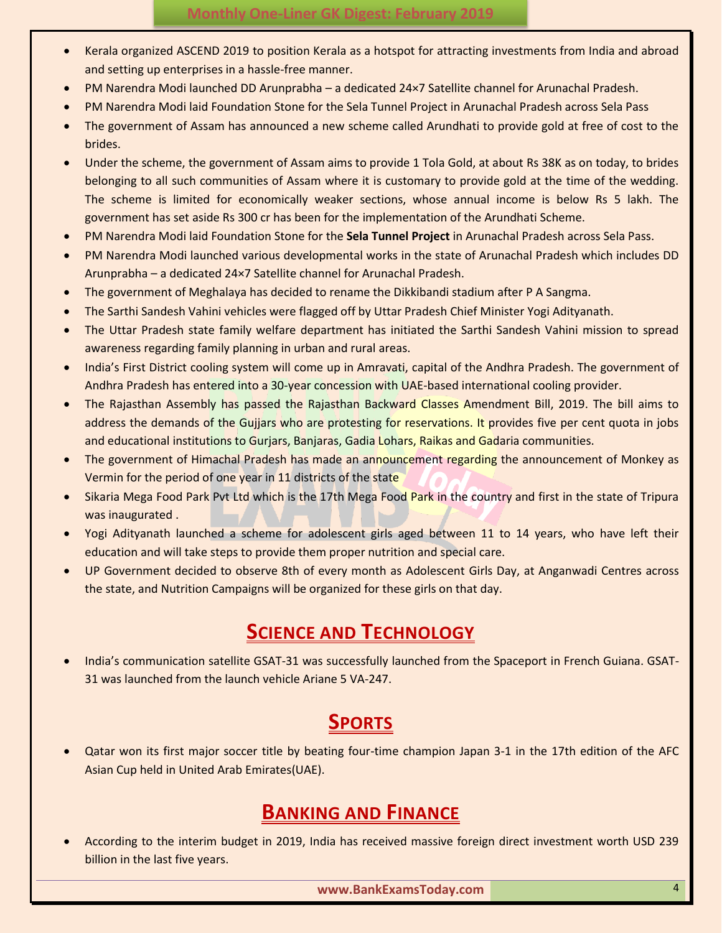- Kerala organized ASCEND 2019 to position Kerala as a hotspot for attracting investments from India and abroad and setting up enterprises in a hassle-free manner.
- PM Narendra Modi launched DD Arunprabha a dedicated 24×7 Satellite channel for Arunachal Pradesh.
- PM Narendra Modi laid Foundation Stone for the Sela Tunnel Project in Arunachal Pradesh across Sela Pass
- The government of Assam has announced a new scheme called Arundhati to provide gold at free of cost to the brides.
- Under the scheme, the government of Assam aims to provide 1 Tola Gold, at about Rs 38K as on today, to brides belonging to all such communities of Assam where it is customary to provide gold at the time of the wedding. The scheme is limited for economically weaker sections, whose annual income is below Rs 5 lakh. The government has set aside Rs 300 cr has been for the implementation of the Arundhati Scheme.
- PM Narendra Modi laid Foundation Stone for the **Sela Tunnel Project** in Arunachal Pradesh across Sela Pass.
- PM Narendra Modi launched various developmental works in the state of Arunachal Pradesh which includes DD Arunprabha – a dedicated 24×7 Satellite channel for Arunachal Pradesh.
- The government of Meghalaya has decided to rename the Dikkibandi stadium after P A Sangma.
- The Sarthi Sandesh Vahini vehicles were flagged off by Uttar Pradesh Chief Minister Yogi Adityanath.
- The Uttar Pradesh state family welfare department has initiated the Sarthi Sandesh Vahini mission to spread awareness regarding family planning in urban and rural areas.
- India's First District cooling system will come up in Amravati, capital of the Andhra Pradesh. The government of Andhra Pradesh has entered into a 30-year concession with UAE-based international cooling provider.
- The Rajasthan Assembly has passed the Rajasthan Backward Classes Amendment Bill, 2019. The bill aims to address the demands of the Gujjars who are protesting for reservations. It provides five per cent quota in jobs and educational institutions to Gurjars, Banjaras, Gadia Lohars, Raikas and Gadaria communities.
- The government of Himachal Pradesh has made an announcement regarding the announcement of Monkey as Vermin for the period of one year in 11 districts of the state
- Sikaria Mega Food Park Pvt Ltd which is the 17th Mega Food Park in the country and first in the state of Tripura was inaugurated .
- Yogi Adityanath launched a scheme for adolescent girls aged between 11 to 14 years, who have left their education and will take steps to provide them proper nutrition and special care.
- UP Government decided to observe 8th of every month as Adolescent Girls Day, at Anganwadi Centres across the state, and Nutrition Campaigns will be organized for these girls on that day.

# **SCIENCE AND TECHNOLOGY**

<span id="page-3-0"></span> India's communication satellite GSAT-31 was successfully launched from the Spaceport in French Guiana. GSAT-31 was launched from the launch vehicle Ariane 5 VA-247.

# **SPORTS**

<span id="page-3-1"></span> Qatar won its first major soccer title by beating four-time champion Japan 3-1 in the 17th edition of the AFC Asian Cup held in United Arab Emirates(UAE).

# **BANKING AND FINANCE**

<span id="page-3-2"></span> According to the interim budget in 2019, India has received massive foreign direct investment worth USD 239 billion in the last five years.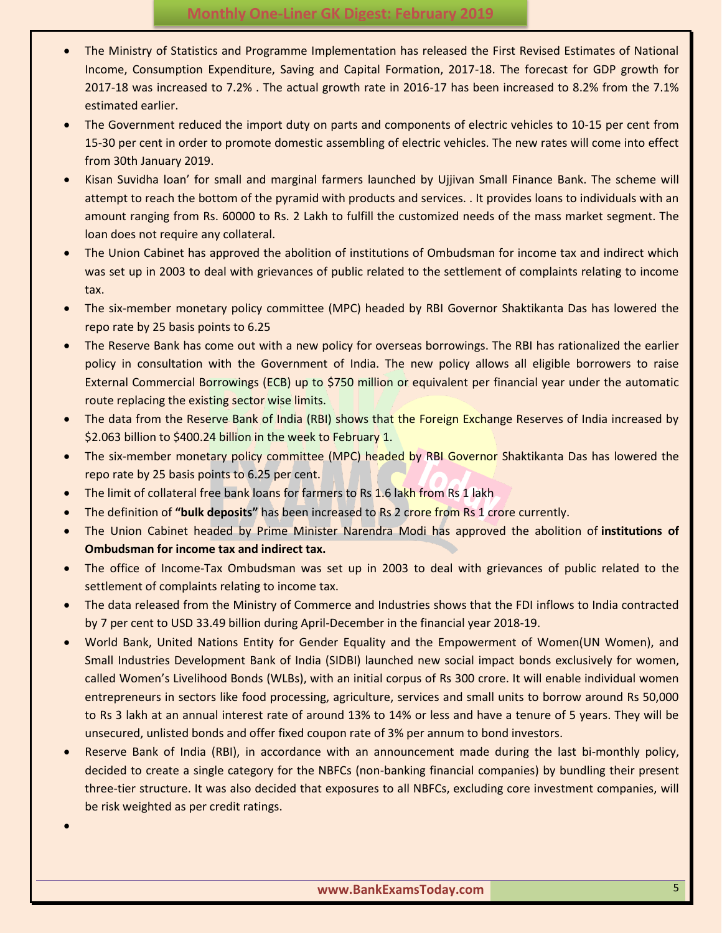- The Ministry of Statistics and Programme Implementation has released the First Revised Estimates of National Income, Consumption Expenditure, Saving and Capital Formation, 2017-18. The forecast for GDP growth for 2017-18 was increased to 7.2% . The actual growth rate in 2016-17 has been increased to 8.2% from the 7.1% estimated earlier.
- The Government reduced the import duty on parts and components of electric vehicles to 10-15 per cent from 15-30 per cent in order to promote domestic assembling of electric vehicles. The new rates will come into effect from 30th January 2019.
- Kisan Suvidha loan' for small and marginal farmers launched by Ujjivan Small Finance Bank. The scheme will attempt to reach the bottom of the pyramid with products and services. . It provides loans to individuals with an amount ranging from Rs. 60000 to Rs. 2 Lakh to fulfill the customized needs of the mass market segment. The loan does not require any collateral.
- The Union Cabinet has approved the abolition of institutions of Ombudsman for income tax and indirect which was set up in 2003 to deal with grievances of public related to the settlement of complaints relating to income tax.
- The six-member monetary policy committee (MPC) headed by RBI Governor Shaktikanta Das has lowered the repo rate by 25 basis points to 6.25
- The Reserve Bank has come out with a new policy for overseas borrowings. The RBI has rationalized the earlier policy in consultation with the Government of India. The new policy allows all eligible borrowers to raise External Commercial Borrowings (ECB) up to \$750 million or equivalent per financial year under the automatic route replacing the existing sector wise limits.
- The data from the Reserve Bank of India (RBI) shows that the Foreign Exchange Reserves of India increased by \$2.063 billion to \$400.24 billion in the week to February 1.
- The six-member monetary policy committee (MPC) headed by RBI Governor Shaktikanta Das has lowered the repo rate by 25 basis points to 6.25 per cent.
- The limit of collateral free bank loans for farmers to Rs 1.6 lakh from Rs 1 lakh

 $\bullet$ 

- The definition of **"bulk deposits"** has been increased to Rs 2 crore from Rs 1 crore currently.
- The Union Cabinet headed by Prime Minister Narendra Modi has approved the abolition of **institutions of Ombudsman for income tax and indirect tax.**
- The office of Income-Tax Ombudsman was set up in 2003 to deal with grievances of public related to the settlement of complaints relating to income tax.
- The data released from the Ministry of Commerce and Industries shows that the FDI inflows to India contracted by 7 per cent to USD 33.49 billion during April-December in the financial year 2018-19.
- World Bank, United Nations Entity for Gender Equality and the Empowerment of Women(UN Women), and Small Industries Development Bank of India (SIDBI) launched new social impact bonds exclusively for women, called Women's Livelihood Bonds (WLBs), with an initial corpus of Rs 300 crore. It will enable individual women entrepreneurs in sectors like food processing, agriculture, services and small units to borrow around Rs 50,000 to Rs 3 lakh at an annual interest rate of around 13% to 14% or less and have a tenure of 5 years. They will be unsecured, unlisted bonds and offer fixed coupon rate of 3% per annum to bond investors.
- Reserve Bank of India (RBI), in accordance with an announcement made during the last bi-monthly policy, decided to create a single category for the NBFCs (non-banking financial companies) by bundling their present three-tier structure. It was also decided that exposures to all NBFCs, excluding core investment companies, will be risk weighted as per credit ratings.
	- **www.BankExamsToday.com** 5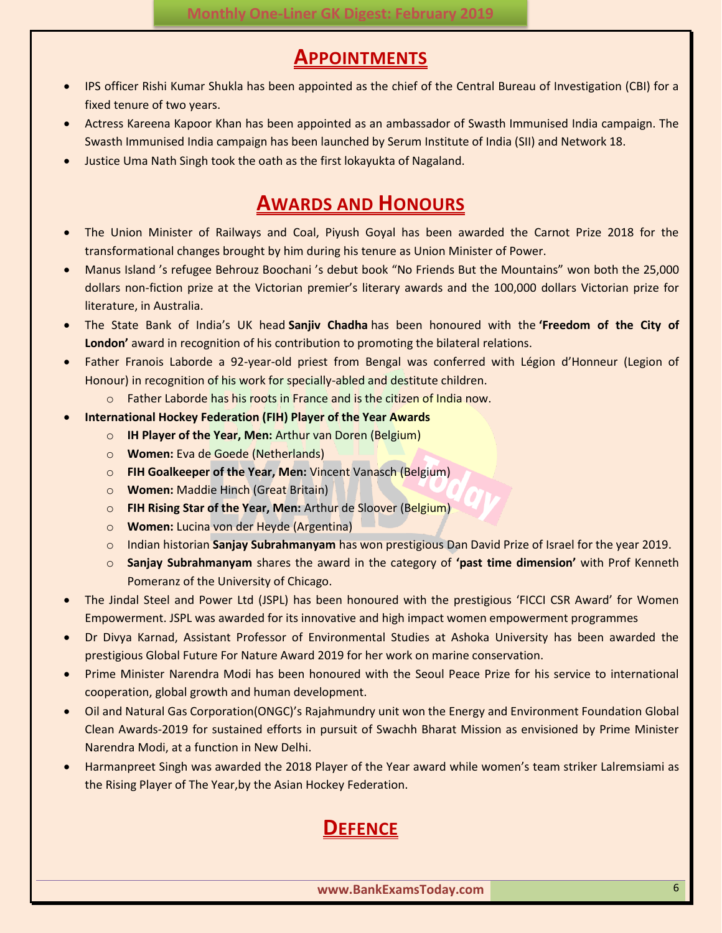### **APPOINTMENTS**

- <span id="page-5-0"></span> IPS officer Rishi Kumar Shukla has been appointed as the chief of the Central Bureau of Investigation (CBI) for a fixed tenure of two years.
- Actress Kareena Kapoor Khan has been appointed as an ambassador of Swasth Immunised India campaign. The Swasth Immunised India campaign has been launched by Serum Institute of India (SII) and Network 18.
- <span id="page-5-1"></span>Justice Uma Nath Singh took the oath as the first lokayukta of Nagaland.

# **AWARDS AND HONOURS**

- The Union Minister of Railways and Coal, Piyush Goyal has been awarded the Carnot Prize 2018 for the transformational changes brought by him during his tenure as Union Minister of Power.
- Manus Island 's refugee Behrouz Boochani 's debut book "No Friends But the Mountains" won both the 25,000 dollars non-fiction prize at the Victorian premier's literary awards and the 100,000 dollars Victorian prize for literature, in Australia.
- The State Bank of India's UK head **Sanjiv Chadha** has been honoured with the **'Freedom of the City of London'** award in recognition of his contribution to promoting the bilateral relations.
- Father Franois Laborde a 92-year-old priest from Bengal was conferred with Légion d'Honneur (Legion of Honour) in recognition of his work for specially-abled and destitute children.
	- $\circ$  Father Laborde has his roots in France and is the citizen of India now.
- **International Hockey Federation (FIH) Player of the Year Awards**
	- o **IH Player of the Year, Men:** Arthur van Doren (Belgium)
	- o **Women:** Eva de Goede (Netherlands)
	- o **FIH Goalkeeper of the Year, Men:** Vincent Vanasch (Belgium)
	- o **Women:** Maddie Hinch (Great Britain)
	- o **FIH Rising Star of the Year, Men:** Arthur de Sloover (Belgium)
	- o **Women:** Lucina von der Heyde (Argentina)
	- o Indian historian **Sanjay Subrahmanyam** has won prestigious Dan David Prize of Israel for the year 2019.
	- o **Sanjay Subrahmanyam** shares the award in the category of **'past time dimension'** with Prof Kenneth Pomeranz of the University of Chicago.
- The Jindal Steel and Power Ltd (JSPL) has been honoured with the prestigious 'FICCI CSR Award' for Women Empowerment. JSPL was awarded for its innovative and high impact women empowerment programmes
- Dr Divya Karnad, Assistant Professor of Environmental Studies at Ashoka University has been awarded the prestigious Global Future For Nature Award 2019 for her work on marine conservation.
- Prime Minister Narendra Modi has been honoured with the Seoul Peace Prize for his service to international cooperation, global growth and human development.
- Oil and Natural Gas Corporation(ONGC)'s Rajahmundry unit won the Energy and Environment Foundation Global Clean Awards-2019 for sustained efforts in pursuit of Swachh Bharat Mission as envisioned by Prime Minister Narendra Modi, at a function in New Delhi.
- <span id="page-5-2"></span> Harmanpreet Singh was awarded the 2018 Player of the Year award while women's team striker Lalremsiami as the Rising Player of The Year,by the Asian Hockey Federation.

# **DEFENCE**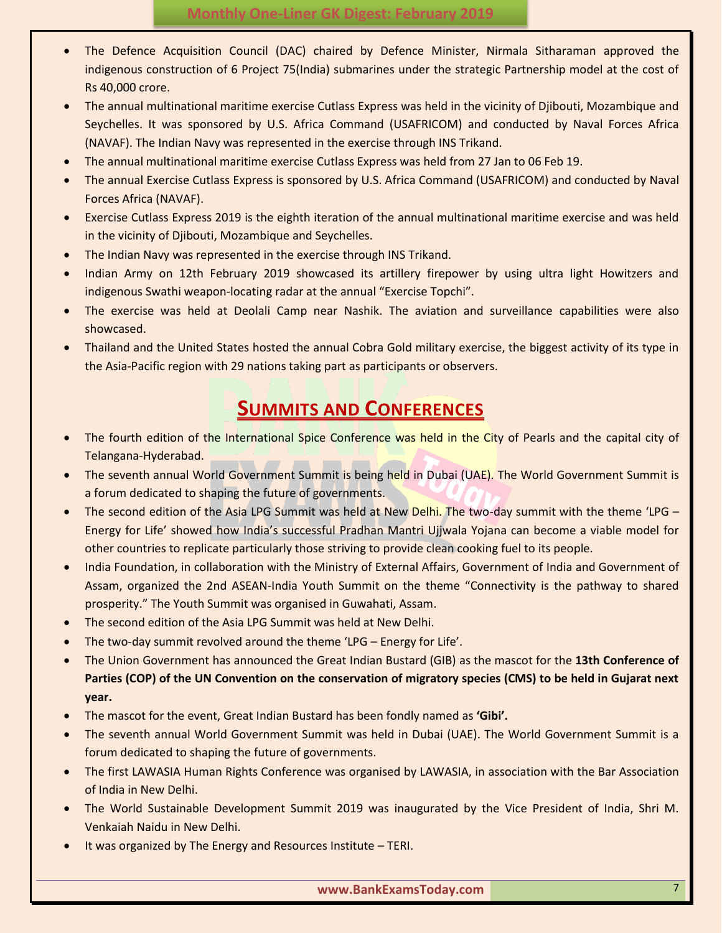- The Defence Acquisition Council (DAC) chaired by Defence Minister, Nirmala Sitharaman approved the indigenous construction of 6 Project 75(India) submarines under the strategic Partnership model at the cost of Rs 40,000 crore.
- The annual multinational maritime exercise Cutlass Express was held in the vicinity of Djibouti, Mozambique and Seychelles. It was sponsored by U.S. Africa Command (USAFRICOM) and conducted by Naval Forces Africa (NAVAF). The Indian Navy was represented in the exercise through INS Trikand.
- The annual multinational maritime exercise Cutlass Express was held from 27 Jan to 06 Feb 19.
- The annual Exercise Cutlass Express is sponsored by U.S. Africa Command (USAFRICOM) and conducted by Naval Forces Africa (NAVAF).
- Exercise Cutlass Express 2019 is the eighth iteration of the annual multinational maritime exercise and was held in the vicinity of Djibouti, Mozambique and Seychelles.
- The Indian Navy was represented in the exercise through INS Trikand.
- Indian Army on 12th February 2019 showcased its artillery firepower by using ultra light Howitzers and indigenous Swathi weapon-locating radar at the annual "Exercise Topchi".
- The exercise was held at Deolali Camp near Nashik. The aviation and surveillance capabilities were also showcased.
- Thailand and the United States hosted the annual Cobra Gold military exercise, the biggest activity of its type in the Asia-Pacific region with 29 nations taking part as participants or observers.

# **SUMMITS AND CONFERENCES**

- <span id="page-6-0"></span> The fourth edition of the International Spice Conference was held in the City of Pearls and the capital city of Telangana-Hyderabad.
- The seventh annual World Government Summit is being held in Dubai (UAE). The World Government Summit is a forum dedicated to shaping the future of governments.
- The second edition of the Asia LPG Summit was held at New Delhi. The two-day summit with the theme 'LPG Energy for Life' showed how India's successful Pradhan Mantri Ujjwala Yojana can become a viable model for other countries to replicate particularly those striving to provide clean cooking fuel to its people.
- India Foundation, in collaboration with the Ministry of External Affairs, Government of India and Government of Assam, organized the 2nd ASEAN-India Youth Summit on the theme "Connectivity is the pathway to shared prosperity." The Youth Summit was organised in Guwahati, Assam.
- The second edition of the Asia LPG Summit was held at New Delhi.
- The two-day summit revolved around the theme 'LPG Energy for Life'.
- The Union Government has announced the Great Indian Bustard (GIB) as the mascot for the **13th Conference of Parties (COP) of the UN Convention on the conservation of migratory species (CMS) to be held in Gujarat next year.**
- The mascot for the event, Great Indian Bustard has been fondly named as **'Gibi'.**
- The seventh annual World Government Summit was held in Dubai (UAE). The World Government Summit is a forum dedicated to shaping the future of governments.
- The first LAWASIA Human Rights Conference was organised by LAWASIA, in association with the Bar Association of India in New Delhi.
- The World Sustainable Development Summit 2019 was inaugurated by the Vice President of India, Shri M. Venkaiah Naidu in New Delhi.
- It was organized by The Energy and Resources Institute TERI.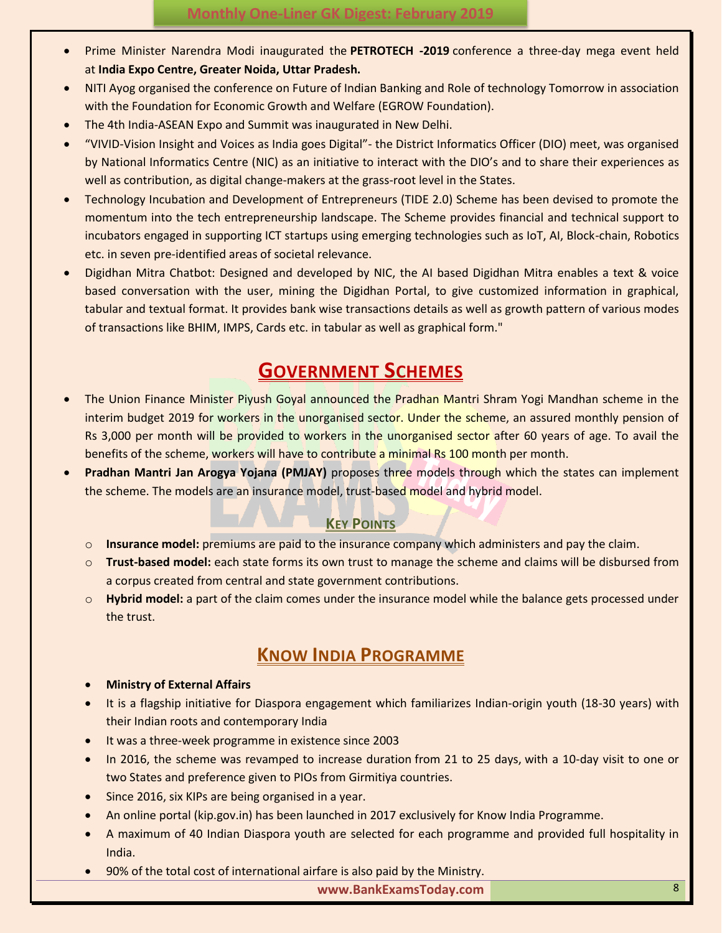- Prime Minister Narendra Modi inaugurated the **PETROTECH -2019** conference a three-day mega event held at **India Expo Centre, Greater Noida, Uttar Pradesh.**
- NITI Ayog organised the conference on Future of Indian Banking and Role of technology Tomorrow in association with the Foundation for Economic Growth and Welfare (EGROW Foundation).
- The 4th India-ASEAN Expo and Summit was inaugurated in New Delhi.
- "VIVID-Vision Insight and Voices as India goes Digital"- the District Informatics Officer (DIO) meet, was organised by National Informatics Centre (NIC) as an initiative to interact with the DIO's and to share their experiences as well as contribution, as digital change-makers at the grass-root level in the States.
- Technology Incubation and Development of Entrepreneurs (TIDE 2.0) Scheme has been devised to promote the momentum into the tech entrepreneurship landscape. The Scheme provides financial and technical support to incubators engaged in supporting ICT startups using emerging technologies such as IoT, AI, Block-chain, Robotics etc. in seven pre-identified areas of societal relevance.
- Digidhan Mitra Chatbot: Designed and developed by NIC, the AI based Digidhan Mitra enables a text & voice based conversation with the user, mining the Digidhan Portal, to give customized information in graphical, tabular and textual format. It provides bank wise transactions details as well as growth pattern of various modes of transactions like BHIM, IMPS, Cards etc. in tabular as well as graphical form."

# **GOVERNMENT SCHEMES**

- <span id="page-7-0"></span> The Union Finance Minister Piyush Goyal announced the Pradhan Mantri Shram Yogi Mandhan scheme in the interim budget 2019 for workers in the unorganised sector. Under the scheme, an assured monthly pension of Rs 3,000 per month will be provided to workers in the unorganised sector after 60 years of age. To avail the benefits of the scheme, workers will have to contribute a minimal Rs 100 month per month.
- **Pradhan Mantri Jan Arogya Yojana (PMJAY)** proposes three models through which the states can implement the scheme. The models are an insurance model, trust-based model and hybrid model.

#### **KEY POINTS**

- <span id="page-7-1"></span>o **Insurance model:** premiums are paid to the insurance company which administers and pay the claim.
- o **Trust-based model:** each state forms its own trust to manage the scheme and claims will be disbursed from a corpus created from central and state government contributions.
- o **Hybrid model:** a part of the claim comes under the insurance model while the balance gets processed under the trust.

# **KNOW INDIA PROGRAMME**

#### <span id="page-7-2"></span>**Ministry of External Affairs**

- It is a flagship initiative for Diaspora engagement which familiarizes Indian-origin youth (18-30 years) with their Indian roots and contemporary India
- It was a three-week programme in existence since 2003
- In 2016, the scheme was revamped to increase duration from 21 to 25 days, with a 10-day visit to one or two States and preference given to PIOs from Girmitiya countries.
- Since 2016, six KIPs are being organised in a year.
- An online portal (kip.gov.in) has been launched in 2017 exclusively for Know India Programme.
- A maximum of 40 Indian Diaspora youth are selected for each programme and provided full hospitality in India.
- 90% of the total cost of international airfare is also paid by the Ministry.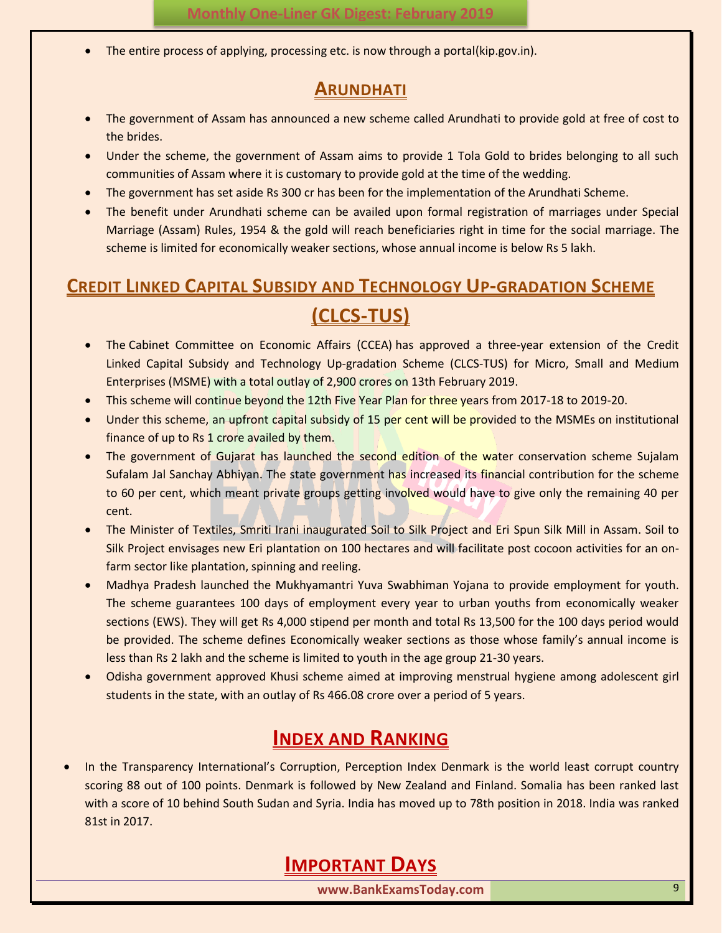<span id="page-8-0"></span>The entire process of applying, processing etc. is now through a portal(kip.gov.in).

#### **ARUNDHATI**

- The government of Assam has announced a new scheme called Arundhati to provide gold at free of cost to the brides.
- Under the scheme, the government of Assam aims to provide 1 Tola Gold to brides belonging to all such communities of Assam where it is customary to provide gold at the time of the wedding.
- The government has set aside Rs 300 cr has been for the implementation of the Arundhati Scheme.
- The benefit under Arundhati scheme can be availed upon formal registration of marriages under Special Marriage (Assam) Rules, 1954 & the gold will reach beneficiaries right in time for the social marriage. The scheme is limited for economically weaker sections, whose annual income is below Rs 5 lakh.

# <span id="page-8-1"></span>**CREDIT LINKED CAPITAL SUBSIDY AND TECHNOLOGY UP-GRADATION SCHEME**

# **(CLCS-TUS)**

- The Cabinet Committee on Economic Affairs (CCEA) has approved a three-year extension of the Credit Linked Capital Subsidy and Technology Up-gradation Scheme (CLCS-TUS) for Micro, Small and Medium Enterprises (MSME) with a total outlay of 2,900 crores on 13th February 2019.
- This scheme will continue beyond the 12th Five Year Plan for three years from 2017-18 to 2019-20.
- Under this scheme, an upfront capital subsidy of 15 per cent will be provided to the MSMEs on institutional finance of up to Rs 1 crore availed by them.
- The government of Gujarat has launched the second edition of the water conservation scheme Sujalam Sufalam Jal Sanchay Abhiyan. The state government has increased its financial contribution for the scheme to 60 per cent, which meant private groups getting involved would have to give only the remaining 40 per cent.
- The Minister of Textiles, Smriti Irani inaugurated Soil to Silk Project and Eri Spun Silk Mill in Assam. Soil to Silk Project envisages new Eri plantation on 100 hectares and will facilitate post cocoon activities for an onfarm sector like plantation, spinning and reeling.
- Madhya Pradesh launched the Mukhyamantri Yuva Swabhiman Yojana to provide employment for youth. The scheme guarantees 100 days of employment every year to urban youths from economically weaker sections (EWS). They will get Rs 4,000 stipend per month and total Rs 13,500 for the 100 days period would be provided. The scheme defines Economically weaker sections as those whose family's annual income is less than Rs 2 lakh and the scheme is limited to youth in the age group 21-30 years.
- Odisha government approved Khusi scheme aimed at improving menstrual hygiene among adolescent girl students in the state, with an outlay of Rs 466.08 crore over a period of 5 years.

# **INDEX AND RANKING**

<span id="page-8-3"></span><span id="page-8-2"></span> In the Transparency International's Corruption, Perception Index Denmark is the world least corrupt country scoring 88 out of 100 points. Denmark is followed by New Zealand and Finland. Somalia has been ranked last with a score of 10 behind South Sudan and Syria. India has moved up to 78th position in 2018. India was ranked 81st in 2017.

# **IMPORTANT DAYS**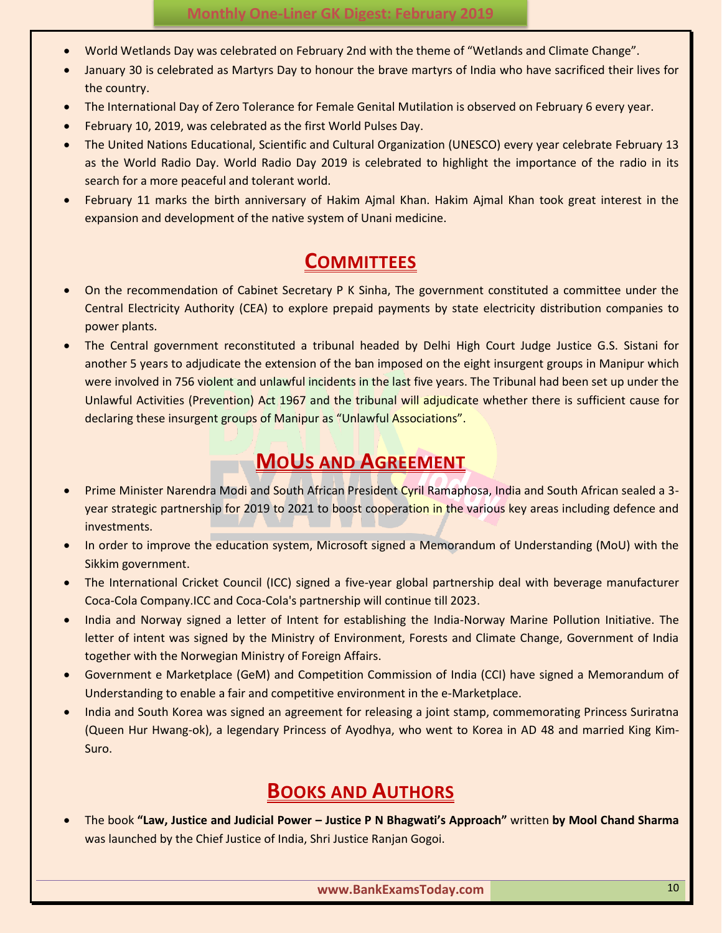- World Wetlands Day was celebrated on February 2nd with the theme of "Wetlands and Climate Change".
- January 30 is celebrated as Martyrs Day to honour the brave martyrs of India who have sacrificed their lives for the country.
- The International Day of Zero Tolerance for Female Genital Mutilation is observed on February 6 every year.
- February 10, 2019, was celebrated as the first World Pulses Day.
- The United Nations Educational, Scientific and Cultural Organization (UNESCO) every year celebrate February 13 as the World Radio Day. World Radio Day 2019 is celebrated to highlight the importance of the radio in its search for a more peaceful and tolerant world.
- February 11 marks the birth anniversary of Hakim Ajmal Khan. Hakim Ajmal Khan took great interest in the expansion and development of the native system of Unani medicine.

### **COMMITTEES**

- <span id="page-9-0"></span> On the recommendation of Cabinet Secretary P K Sinha, The government constituted a committee under the Central Electricity Authority (CEA) to explore prepaid payments by state electricity distribution companies to power plants.
- The Central government reconstituted a tribunal headed by Delhi High Court Judge Justice G.S. Sistani for another 5 years to adjudicate the extension of the ban imposed on the eight insurgent groups in Manipur which were involved in 756 violent and unlawful incidents in the last five years. The Tribunal had been set up under the Unlawful Activities (Prevention) Act 1967 and the tribunal will adjudicate whether there is sufficient cause for declaring these insurgent groups of Manipur as "Unlawful Associations".

### **MOUS AND AGREEMENT**

- <span id="page-9-1"></span> Prime Minister Narendra Modi and South African President Cyril Ramaphosa, India and South African sealed a 3 year strategic partnership for 2019 to 2021 to boost cooperation in the various key areas including defence and investments.
- In order to improve the education system, Microsoft signed a Memorandum of Understanding (MoU) with the Sikkim government.
- The International Cricket Council (ICC) signed a five-year global partnership deal with beverage manufacturer Coca-Cola Company.ICC and Coca-Cola's partnership will continue till 2023.
- India and Norway signed a letter of Intent for establishing the India-Norway Marine Pollution Initiative. The letter of intent was signed by the Ministry of Environment, Forests and Climate Change, Government of India together with the Norwegian Ministry of Foreign Affairs.
- Government e Marketplace (GeM) and Competition Commission of India (CCI) have signed a Memorandum of Understanding to enable a fair and competitive environment in the e-Marketplace.
- India and South Korea was signed an agreement for releasing a joint stamp, commemorating Princess Suriratna (Queen Hur Hwang-ok), a legendary Princess of Ayodhya, who went to Korea in AD 48 and married King Kim-Suro.

# **BOOKS AND AUTHORS**

<span id="page-9-2"></span> The book **"Law, Justice and Judicial Power – Justice P N Bhagwati's Approach"** written **by Mool Chand Sharma**  was launched by the Chief Justice of India, Shri Justice Ranjan Gogoi.